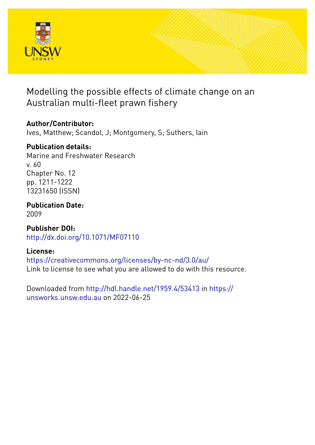

# Modelling the possible effects of climate change on an Australian multi-fleet prawn fishery

# **Author/Contributor:**

Ives, Matthew; Scandol, J; Montgomery, S; Suthers, Iain

# **Publication details:**

Marine and Freshwater Research v. 60 Chapter No. 12 pp. 1211-1222 13231650 (ISSN)

**Publication Date:** 2009

**Publisher DOI:** [http://dx.doi.org/10.1071/MF07110](http://dx.doi.org/http://dx.doi.org/10.1071/MF07110)

# **License:**

<https://creativecommons.org/licenses/by-nc-nd/3.0/au/> Link to license to see what you are allowed to do with this resource.

Downloaded from <http://hdl.handle.net/1959.4/53413> in [https://](https://unsworks.unsw.edu.au) [unsworks.unsw.edu.au](https://unsworks.unsw.edu.au) on 2022-06-25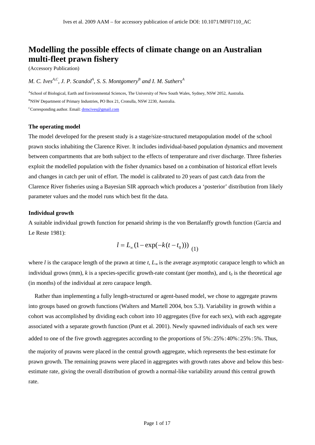# **Modelling the possible effects of climate change on an Australian multi-fleet prawn fishery**

(Accessory Publication)

*M. C. Ives*<sup> $^{A,C}$ </sup>, *J. P. Scandol*<sup> $^{A}$ </sup>, *S. S. Montgomery*<sup>*B</sup> and I. M. Suthers*<sup> $^{A}$ </sup></sup>

<sup>A</sup>School of Biological, Earth and Environmental Sciences, The University of New South Wales, Sydney, NSW 2052, Australia. <sup>B</sup>NSW Department of Primary Industries, PO Box 21, Cronulla, NSW 2230, Australia. <sup>C</sup>Corresponding author. Email: drmcives@gmail.com

# **The operating model**

The model developed for the present study is a stage/size-structured metapopulation model of the school prawn stocks inhabiting the Clarence River. It includes individual-based population dynamics and movement between compartments that are both subject to the effects of temperature and river discharge. Three fisheries exploit the modelled population with the fisher dynamics based on a combination of historical effort levels and changes in catch per unit of effort. The model is calibrated to 20 years of past catch data from the Clarence River fisheries using a Bayesian SIR approach which produces a 'posterior' distribution from likely parameter values and the model runs which best fit the data.

# **Individual growth**

A suitable individual growth function for penaeid shrimp is the von Bertalanffy growth function (Garcia and Le Reste 1981):

$$
l = L_{\infty} (1 - \exp(-k(t - t_0)))
$$
 (1)

where *l* is the carapace length of the prawn at time  $t$ ,  $L$  is the average asymptotic carapace length to which an individual grows (mm),  $k$  is a species-specific growth-rate constant (per months), and  $t_0$  is the theoretical age (in months) of the individual at zero carapace length.

Rather than implementing a fully length-structured or agent-based model, we chose to aggregate prawns into groups based on growth functions (Walters and Martell 2004, box 5.3). Variability in growth within a cohort was accomplished by dividing each cohort into 10 aggregates (five for each sex), with each aggregate associated with a separate growth function (Punt et al. 2001). Newly spawned individuals of each sex were added to one of the five growth aggregates according to the proportions of 5%:25%:40%:25%:5%. Thus, the majority of prawns were placed in the central growth aggregate, which represents the best-estimate for prawn growth. The remaining prawns were placed in aggregates with growth rates above and below this best estimate rate, giving the overall distribution of growth a normal-like variability around this central growth rate.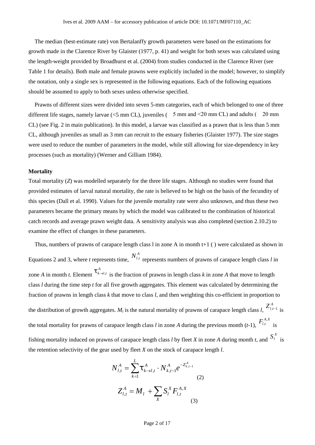The median (best-estimate rate) von Bertalanffy growth parameters were based on the estimations for growth made in the Clarence River by Glaister (1977, p. 41) and weight for both sexes was calculated using the length-weight provided by Broadhurst et al. (2004) from studies conducted in the Clarence River (see Table 1 for details). Both male and female prawns were explicitly included in the model; however, to simplify the notation, only a single sex is represented in the following equations. Each of the following equations should be assumed to apply to both sexes unless otherwise specified.

Prawns of different sizes were divided into seven 5-mm categories, each of which belonged to one of three different life stages, namely larvae ( $\leq$ 5 mm CL), juveniles (5 mm and  $\leq$ 20 mm CL) and adults (20 mm CL) (see Fig. 2 in main publication). In this model, a larvae was classified as a prawn that is less than 5 mm CL, although juveniles as small as 3 mm can recruit to the estuary fisheries (Glaister 1977). The size stages were used to reduce the number of parameters in the model, while still allowing for size-dependency in key processes (such as mortality) (Werner and Gilliam 1984).

### **Mortality**

Total mortality (*Z*) was modelled separately for the three life stages. Although no studies were found that provided estimates of larval natural mortality, the rate is believed to be high on the basis of the fecundity of this species (Dall et al. 1990). Values for the juvenile mortality rate were also unknown, and thus these two parameters became the primary means by which the model was calibrated to the combination of historical catch records and average prawn weight data. A sensitivity analysis was also completed (section 2.10.2) to examine the effect of changes in these parameters.

Thus, numbers of prawns of carapace length class l in zone A in month t+1 ( ) were calculated as shown in Equations 2 and 3, where *t* represents time,  $N_{l,t}^A$  represents numbers of prawns of carapace length class *l* in zone *A* in month *t*. Element  $f^{k \to l}$  $\updownarrow_{k\rightarrow l,t}^{A}$  is the fraction of prawns in length class *k* in zone *A* that move to length class *l* during the time step *t* for all five growth aggregates. This element was calculated by determining the fraction of prawns in length class *k* that move to class *l*, and then weighting this co-efficient in proportion to the distribution of growth aggregates.  $M_l$  is the natural mortality of prawns of carapace length class *l*,  $Z_{l,t-1}^A$  is the total mortality for prawns of carapace length class *l* in zone *A* during the previous month  $(t-1)$ ,  $F_{l,t}^{A,X}$  is  $\cdot$ <sup>t</sup> is fishing mortality induced on prawns of carapace length class *l* by fleet *X* in zone *A* during month *t*, and  $S_l^X$  is the retention selectivity of the gear used by fleet *X* on the stock of carapace length *l*.

$$
N_{l,t}^{A} = \sum_{k=1}^{L} \mathbf{\ddot{t}}_{k \to l,t}^{A} \cdot N_{k,t-1}^{A} e^{-Z_{k,t-1}^{A}}
$$
  
(2)  

$$
Z_{l,t}^{A} = M_{l} + \sum_{X} S_{l}^{X} F_{l,t}^{A,X}
$$
  
(3)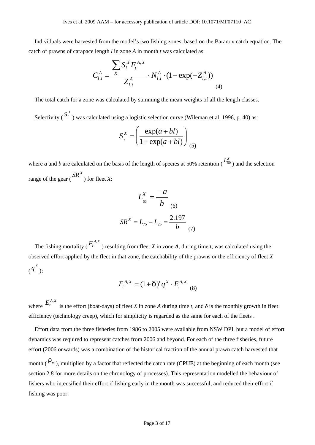Individuals were harvested from the model's two fishing zones, based on the Baranov catch equation. The catch of prawns of carapace length *l* in zone *A* in month *t* was calculated as:

$$
C_{l,t}^{A} = \frac{\sum_{X} S_{l}^{X} F_{t}^{A,X}}{Z_{l,t}^{A}} \cdot N_{l,t}^{A} \cdot (1 - \exp(-Z_{l,t}^{A}))
$$
\n(4)

The total catch for a zone was calculated by summing the mean weights of all the length classes.

Selectivity ( $S_i^X$ ) was calculated using a logistic selection curve (Wileman et al. 1996, p. 40) as:

$$
S_i^X = \left(\frac{\exp(a+bl)}{1+\exp(a+bl)}\right)_{(5)}
$$

where *a* and *b* are calculated on the basis of the length of species at 50% retention ( $L_{50}^X$ ) and the selection range of the gear ( $\frac{SR^X}{}$ ) for fleet *X*:

$$
L_{50}^{X} = \frac{-a}{b}
$$
  

$$
SR^{X} = L_{75} - L_{25} = \frac{2.197}{b}
$$
 (7)

The fishing mortality ( $F_l^{A,X}$ ) resulting from fleet X in zor ) resulting from fleet *X* in zone *A*, during time *t*, was calculated using the observed effort applied by the fleet in that zone, the catchability of the prawns or the efficiency of fleet *X*  $(q^X)$ :

$$
F_t^{A,X} = (1 + u)^t q^X \cdot E_t^{A,X}
$$
 (8)

where  $E_t^{A,X}$  is the effort (boat-days) of flow is the effort (boat-days) of fleet *X* in zone *A* during time *t*, and is the monthly growth in fleet efficiency (technology creep), which for simplicity is regarded as the same for each of the fleets .

Effort data from the three fisheries from 1986 to 2005 were available from NSW DPI, but a model of effort dynamics was required to represent catches from 2006 and beyond. For each of the three fisheries, future effort (2006 onwards) was a combination of the historical fraction of the annual prawn catch harvested that

month ( $\cdots$ <sup>*m*</sup>), multiplied by a factor that reflected the catch rate (CPUE) at the beginning of each month (see section 2.8 for more details on the chronology of processes). This representation modelled the behaviour of fishers who intensified their effort if fishing early in the month was successful, and reduced their effort if fishing was poor.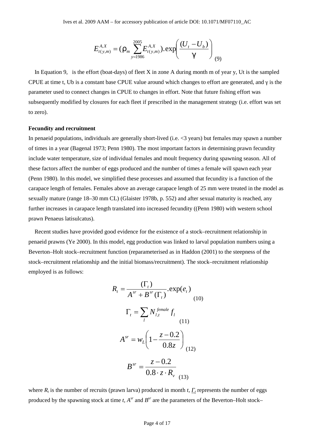$$
E_{t(y,m)}^{A,X} = \left(\dots_m \sum_{y=1986}^{2005} E_{t(y,m)}^{A,X}\right) \cdot \exp\left(\frac{(U_t - U_b)}{\mathsf{x}}\right)_{(9)}
$$

In Equation 9, is the effort (boat-days) of fleet X in zone A during month m of year y, Ut is the sampled CPUE at time t, Ub is a constant base CPUE value around which changes to effort are generated, and *is the* parameter used to connect changes in CPUE to changes in effort. Note that future fishing effort was subsequently modified by closures for each fleet if prescribed in the management strategy (i.e. effort was set to zero).

# **Fecundity and recruitment**

In penaeid populations, individuals are generally short-lived (i.e. <3 years) but females may spawn a number of times in a year (Bagenal 1973; Penn 1980). The most important factors in determining prawn fecundity include water temperature, size of individual females and moult frequency during spawning season. All of these factors affect the number of eggs produced and the number of times a female will spawn each year (Penn 1980). In this model, we simplified these processes and assumed that fecundity is a function of the carapace length of females. Females above an average carapace length of 25 mm were treated in the model as sexually mature (range 18–30 mm CL) (Glaister 1978b, p. 552) and after sexual maturity is reached, any further increases in carapace length translated into increased fecundity ((Penn 1980) with western school prawn Penaeus latisulcatus).

Recent studies have provided good evidence for the existence of a stock–recruitment relationship in penaeid prawns (Ye 2000). In this model, egg production was linked to larval population numbers using a Beverton–Holt stock–recruitment function (reparameterised as in Haddon (2001) to the steepness of the stock–recruitment relationship and the initial biomass/recruitment). The stock–recruitment relationship employed is as follows:

$$
R_{t} = \frac{(\Gamma_{t})}{A^{sr} + B^{sr}(\Gamma_{t})} \cdot \exp(e_{t})
$$
  
\n
$$
\Gamma_{t} = \sum_{l} N_{l,t}^{female} f_{l}
$$
  
\n
$$
A^{sr} = w_{L} \left( 1 - \frac{z - 0.2}{0.8z} \right)
$$
  
\n
$$
B^{sr} = \frac{z - 0.2}{0.8 \cdot z \cdot R_{v}}
$$
  
\n(13)

where  $R_t$  is the number of recruits (prawn larva) produced in month  $t$ ,  $t$  represents the number of eggs produced by the spawning stock at time  $t$ ,  $A^{sr}$  and  $B^{sr}$  are the parameters of the Beverton–Holt stock–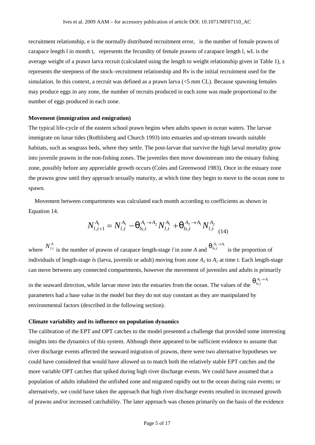recruitment relationship, e is the normally distributed recruitment error, is the number of female prawns of carapace length l in month t, represents the fecundity of female prawns of carapace length l, wL is the average weight of a prawn larva recruit (calculated using the length to weight relationship given in Table 1), z represents the steepness of the stock–recruitment relationship and Rv is the initial recruitment used for the simulation. In this context, a recruit was defined as a prawn larva (<5 mm CL). Because spawning females may produce eggs in any zone, the number of recruits produced in each zone was made proportional to the number of eggs produced in each zone.

# **Movement (immigration and emigration)**

The typical life-cycle of the eastern school prawn begins when adults spawn in ocean waters. The larvae immigrate on lunar tides (Rothlisberg and Church 1993) into estuaries and up-stream towards suitable habitats, such as seagrass beds, where they settle. The post-larvae that survive the high larval mortality grow into juvenile prawns in the non-fishing zones. The juveniles then move downstream into the estuary fishing zone, possibly before any appreciable growth occurs (Coles and Greenwood 1983). Once in the estuary zone the prawns grow until they approach sexually maturity, at which time they begin to move to the ocean zone to spawn.

Movement between compartments was calculated each month according to coefficients as shown in Equation 14.

$$
N_{l,t+1}^{A_1} = N_{l,t}^{A_1} - \frac{A_1 \rightarrow A_2}{s,t} N_{l,t}^{A_1} + \frac{A_2 \rightarrow A_1}{s,t} N_{l,t}^{A_2}
$$
\n(14)

where  $N_{l,t}^{A}$  is the number of prawns of carapace length-stage *l* in zone *A* and  $N_{l,t}^{A_2 \to A_1}$  is the proportion of individuals of length-stage *ls* (larva, juvenile or adult) moving from zone *A<sup>2</sup>* to *A<sup>1</sup>* at time *t*. Each length-stage can move between any connected compartments, however the movement of juveniles and adults is primarily

in the seaward direction, while larvae move into the estuaries from the ocean. The values of the  $\sqrt[n]{s}$  $A_2 \rightarrow A_1$ <br>*s*, *t*  $A_2 \rightarrow A_1$ <br>*ls*,*t*  $A_2 \rightarrow A_1$ <br>  $\parallel$   $\parallel$   $\parallel$  s  $t$ parameters had a base value in the model but they do not stay constant as they are manipulated by environmental factors (described in the following section).

### **Climate variability and its influence on population dynamics**

The calibration of the EPT and OPT catches to the model presented a challenge that provided some interesting insights into the dynamics of this system. Although there appeared to be sufficient evidence to assume that river discharge events affected the seaward migration of prawns, there were two alternative hypotheses we could have considered that would have allowed us to match both the relatively stable EPT catches and the more variable OPT catches that spiked during high river discharge events. We could have assumed that a population of adults inhabited the unfished zone and migrated rapidly out to the ocean during rain events; or alternatively, we could have taken the approach that high river discharge events resulted in increased growth of prawns and/or increased catchability. The later approach was chosen primarily on the basis of the evidence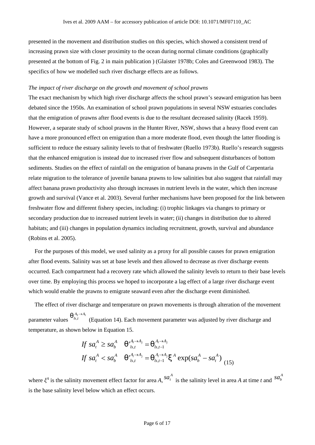presented in the movement and distribution studies on this species, which showed a consistent trend of increasing prawn size with closer proximity to the ocean during normal climate conditions (graphically presented at the bottom of Fig. 2 in main publication ) (Glaister 1978b; Coles and Greenwood 1983). The specifics of how we modelled such river discharge effects are as follows.

### *The impact of river discharge on the growth and movement of school prawns*

The exact mechanism by which high river discharge affects the school prawn's seaward emigration has been debated since the 1950s. An examination of school prawn populations in several NSW estuaries concludes that the emigration of prawns after flood events is due to the resultant decreased salinity (Racek 1959). However, a separate study of school prawns in the Hunter River, NSW, shows that a heavy flood event can have a more pronounced effect on emigration than a more moderate flood, even though the latter flooding is sufficient to reduce the estuary salinity levels to that of freshwater (Ruello 1973b). Ruello's research suggests that the enhanced emigration is instead due to increased river flow and subsequent disturbances of bottom sediments. Studies on the effect of rainfall on the emigration of banana prawns in the Gulf of Carpentaria relate migration to the tolerance of juvenile banana prawns to low salinities but also suggest that rainfall may affect banana prawn productivity also through increases in nutrient levels in the water, which then increase growth and survival (Vance et al. 2003). Several further mechanisms have been proposed for the link between freshwater flow and different fishery species, including: (i) trophic linkages via changes to primary or secondary production due to increased nutrient levels in water; (ii) changes in distribution due to altered habitats; and (iii) changes in population dynamics including recruitment, growth, survival and abundance (Robins et al. 2005).

For the purposes of this model, we used salinity as a proxy for all possible causes for prawn emigration after flood events. Salinity was set at base levels and then allowed to decrease as river discharge events occurred. Each compartment had a recovery rate which allowed the salinity levels to return to their base levels over time. By employing this process we hoped to incorporate a lag effect of a large river discharge event which would enable the prawns to emigrate seaward even after the discharge event diminished.

The effect of river discharge and temperature on prawn movements is through alteration of the movement parameter values  $''$   $_{ls,t}$  $A_2 \rightarrow A_1$ <br> *<sup><i>A*</sup><sub>*ls,t*</sub></sup> (Equation 14). Each movement parameter was adjusted by river discharge and temperature, as shown below in Equation 15.

$$
If \ sa_t^A \ge s a_b^A \quad \xrightarrow[n \text{ s.t. } t]{A_i \to A_j} = \xrightarrow[n \text{ s.t. } t]{A_i \to A_j} \\
\text{If } \ sa_t^A < s a_b^A \quad \xrightarrow[n \text{ s.t. } t]{A_i \to A_j} = \xrightarrow[n \text{ s.t. } t]{A_i \to A_j} \\
< A \ \exp(s a_b^A - s a_t^A) \\
\text{(15)}
$$

where <sup>*A*</sup> is the salinity movement effect factor for area *A*,  ${}^{SA_t^A}$  is the salinity level in area *A* at time *t* and  ${}^{SA_b^A}$ *A*  $sa_b^A$ is the base salinity level below which an effect occurs.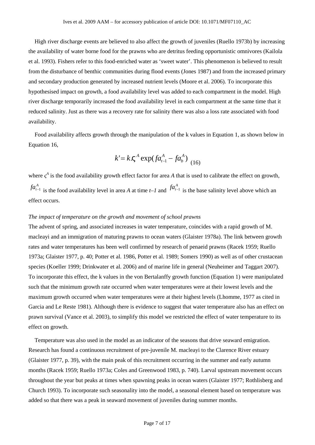High river discharge events are believed to also affect the growth of juveniles (Ruello 1973b) by increasing the availability of water borne food for the prawns who are detritus feeding opportunistic omnivores (Kailola et al. 1993). Fishers refer to this food-enriched water as 'sweet water'. This phenomenon is believed to result from the disturbance of benthic communities during flood events (Jones 1987) and from the increased primary and secondary production generated by increased nutrient levels (Moore et al. 2006). To incorporate this hypothesised impact on growth, a food availability level was added to each compartment in the model. High river discharge temporarily increased the food availability level in each compartment at the same time that it reduced salinity. Just as there was a recovery rate for salinity there was also a loss rate associated with food availability.

Food availability affects growth through the manipulation of the k values in Equation 1, as shown below in Equation 16,

$$
k' = k \cdot g^A \exp(f a_{t-1}^A - f a_b^A) \big|_{(16)}
$$

where <sup>A</sup> is the food availability growth effect factor for area A that is used to calibrate the effect on growth,  $fa_{t-1}^A$  is the food availability level in area *A* at time *t*–*1* and  $fa_{t-1}^A$  is  $fa_{t-1}^A$  is the base salinity level above which an effect occurs.

# *The impact of temperature on the growth and movement of school prawns*

The advent of spring, and associated increases in water temperature, coincides with a rapid growth of M. macleayi and an immigration of maturing prawns to ocean waters (Glaister 1978a). The link between growth rates and water temperatures has been well confirmed by research of penaeid prawns (Racek 1959; Ruello 1973a; Glaister 1977, p. 40; Potter et al. 1986, Potter et al. 1989; Somers 1990) as well as of other crustacean species (Koeller 1999; Drinkwater et al. 2006) and of marine life in general (Neuheimer and Taggart 2007). To incorporate this effect, the k values in the von Bertalanffy growth function (Equation 1) were manipulated such that the minimum growth rate occurred when water temperatures were at their lowest levels and the maximum growth occurred when water temperatures were at their highest levels (Lhomme, 1977 as cited in Garcia and Le Reste 1981). Although there is evidence to suggest that water temperature also has an effect on prawn survival (Vance et al. 2003), to simplify this model we restricted the effect of water temperature to its effect on growth.

Temperature was also used in the model as an indicator of the seasons that drive seaward emigration. Research has found a continuous recruitment of pre-juvenile M. macleayi to the Clarence River estuary (Glaister 1977, p. 39), with the main peak of this recruitment occurring in the summer and early autumn months (Racek 1959; Ruello 1973a; Coles and Greenwood 1983, p. 740). Larval upstream movement occurs throughout the year but peaks at times when spawning peaks in ocean waters (Glaister 1977; Rothlisberg and Church 1993). To incorporate such seasonality into the model, a seasonal element based on temperature was added so that there was a peak in seaward movement of juveniles during summer months.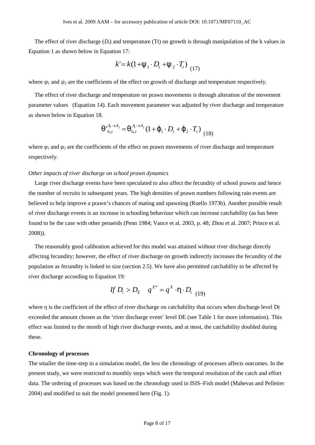The effect of river discharge  $(D_t)$  and temperature (Tt) on growth is through manipulation of the k values in Equation 1 as shown below in Equation 17:

$$
k' = k(1 + \mathbb{E}_1 \cdot D_t + \mathbb{E}_2 \cdot T_t) \tag{17}
$$

where  $\mu$  and  $\sigma$  are the coefficients of the effect on growth of discharge and temperature respectively.

The effect of river discharge and temperature on prawn movements is through alteration of the movement parameter values (Equation 14). Each movement parameter was adjusted by river discharge and temperature as shown below in Equation 18.

$$
\int_{\pi}^{A_t \to A_j} \sum_{l s,t} A_l \to A_j \left(1 + \{1 \cdot D_t + \{2 \cdot T_t\}}{2 \cdot T_t}\right) \tag{18}
$$

where  $\mu$  and  $\mu$  are the coefficients of the effect on prawn movements of river discharge and temperature respectively.

#### *Other impacts of river discharge on school prawn dynamics*

Large river discharge events have been speculated to also affect the fecundity of school prawns and hence the number of recruits in subsequent years. The high densities of prawn numbers following rain events are believed to help improve a prawn's chances of mating and spawning (Ruello 1973b). Another possible result of river discharge events is an increase in schooling behaviour which can increase catchability (as has been found to be the case with other penaeids (Penn 1984; Vance et al. 2003, p. 48; Zhou et al. 2007; Prince et al. 2008)).

The reasonably good calibration achieved for this model was attained without river discharge directly affecting fecundity; however, the effect of river discharge on growth indirectly increases the fecundity of the population as fecundity is linked to size (section 2.5). We have also permitted catchability to be affected by river discharge according to Equation 19:

$$
If D_t > D_E \quad q^{X^*} = q^X \cdot y \cdot D_{t \ (19)}
$$

where is the coefficient of the effect of river discharge on catchability that occurs when discharge level Dt exceeded the amount chosen as the 'river discharge event' level DE (see Table 1 for more information). This effect was limited to the month of high river discharge events, and at most, the catchability doubled during these.

# **Chronology of processes**

The smaller the time-step in a simulation model, the less the chronology of processes affects outcomes. In the present study, we were restricted to monthly steps which were the temporal resolution of the catch and effort data. The ordering of processes was based on the chronology used in ISIS–Fish model (Mahevas and Pelletier 2004) and modified to suit the model presented here (Fig. 1).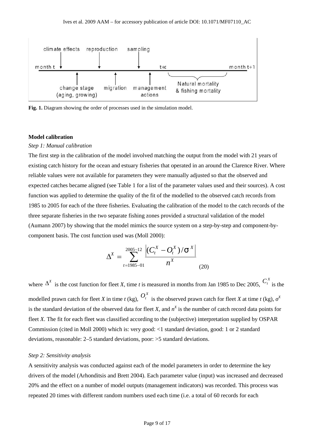

**Fig. 1.** Diagram showing the order of processes used in the simulation model.

# **Model calibration**

### *Step 1: Manual calibration*

The first step in the calibration of the model involved matching the output from the model with 21 years of existing catch history for the ocean and estuary fisheries that operated in an around the Clarence River. Where reliable values were not available for parameters they were manually adjusted so that the observed and expected catches became aligned (see Table 1 for a list of the parameter values used and their sources). A cost function was applied to determine the quality of the fit of the modelled to the observed catch records from 1985 to 2005 for each of the three fisheries. Evaluating the calibration of the model to the catch records of the three separate fisheries in the two separate fishing zones provided a structural validation of the model (Aumann 2007) by showing that the model mimics the source system on a step-by-step and component-by component basis. The cost function used was (Moll 2000):

$$
\Delta^X = \sum_{t=1985-01}^{2005-12} \frac{\left| (C_t^X - O_t^X) / \uparrow x \right|}{n^X}
$$
(20)

where  $\Delta^X$  is the cost function for fleet *X*, time *t* is measured in months from Jan 1985 to Dec 2005,  $C_t^X$  is the modelled prawn catch for fleet *X* in time *t* (kg),  $O_t^X$  is the observed prawn catch for fleet *X* at time *t* (kg),  $X$ is the standard deviation of the observed data for fleet *X*, and  $n<sup>X</sup>$  is the number of catch record data points for fleet *X*. The fit for each fleet was classified according to the (subjective) interpretation supplied by OSPAR Commission (cited in Moll 2000) which is: very good: <1 standard deviation, good: 1 or 2 standard deviations, reasonable: 2–5 standard deviations, poor: >5 standard deviations.

# *Step 2: Sensitivity analysis*

A sensitivity analysis was conducted against each of the model parameters in order to determine the key drivers of the model (Arhonditsis and Brett 2004). Each parameter value (input) was increased and decreased 20% and the effect on a number of model outputs (management indicators) was recorded. This process was repeated 20 times with different random numbers used each time (i.e. a total of 60 records for each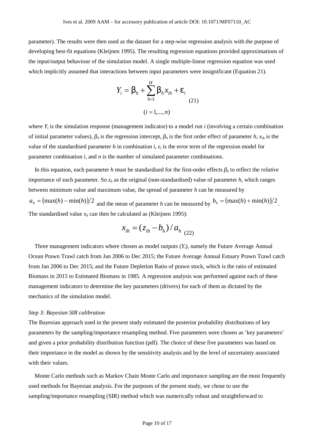parameter). The results were then used as the dataset for a step-wise regression analysis with the purpose of developing best-fit equations (Kleijnen 1995). The resulting regression equations provided approximations of the input/output behaviour of the simulation model. A single multiple-linear regression equation was used which implicitly assumed that interactions between input parameters were insignificant (Equation 21).

$$
Y_{i} = S_{0} + \sum_{h=1}^{H} S_{h} x_{ih} + V_{i}
$$
  
(21)  

$$
(i = 1,...,n)
$$

where  $Y_i$  is the simulation response (management indicator) to a model run *i* (involving a certain combination of initial parameter values),  $\theta$  is the regression intercept,  $\theta$  is the first order effect of parameter  $h$ ,  $x_{ih}$  is the value of the standardised parameter *h* in combination *i*,  $\mu$  is the error term of the regression model for parameter combination *i*, and *n* is the number of simulated parameter combinations.

In this equation, each parameter *h* must be standardised for the first-order effects *<sup>h</sup>* to reflect the *relative* importance of each parameter. So *z<sup>h</sup>* as the original (non-standardised) value of parameter *h*, which ranges between minimum value and maximum value, the spread of parameter *h* can be measured by  $a_h = (\max(h) - \min(h))/2$  and the mean of parameter *h* can be measured by  $b_h = (\max(h) + \min(h))/2$ . *.* The standardised value  $x_h$  can then be calculated as (Kleijnen 1995):

$$
x_{ih} = (z_{ih} - b_h) / a_{h} (22)
$$

Three management indicators where chosen as model outputs  $(Y_i)$ , namely the Future Average Annual Ocean Prawn Trawl catch from Jan 2006 to Dec 2015; the Future Average Annual Estuary Prawn Trawl catch from Jan 2006 to Dec 2015; and the Future Depletion Ratio of prawn stock, which is the ratio of estimated Biomass in 2015 to Estimated Biomass in 1985. A regression analysis was performed against each of these management indicators to determine the key parameters (drivers) for each of them as dictated by the mechanics of the simulation model.

# *Step 3: Bayesian SIR calibration*

The Bayesian approach used in the present study estimated the posterior probability distributions of key parameters by the sampling/importance resampling method. Five parameters were chosen as 'key parameters' and given a prior probability distribution function (pdf). The choice of these five parameters was based on their importance in the model as shown by the sensitivity analysis and by the level of uncertainty associated with their values.

Monte Carlo methods such as Markov Chain Monte Carlo and importance sampling are the most frequently used methods for Bayesian analysis. For the purposes of the present study, we chose to use the sampling/importance resampling (SIR) method which was numerically robust and straightforward to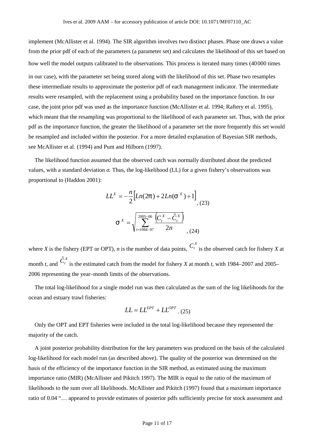implement (McAllister et al. 1994). The SIR algorithm involves two distinct phases. Phase one draws a value from the prior pdf of each of the parameters (a parameter set) and calculates the likelihood of this set based on how well the model outputs calibrated to the observations. This process is iterated many times (40000 times in our case), with the parameter set being stored along with the likelihood of this set. Phase two resamples these intermediate results to approximate the posterior pdf of each management indicator. The intermediate results were resampled, with the replacement using a probability based on the importance function. In our case, the joint prior pdf was used as the importance function (McAllister et al. 1994; Raftery et al. 1995), which meant that the resampling was proportional to the likelihood of each parameter set. Thus, with the prior pdf as the importance function, the greater the likelihood of a parameter set the more frequently this set would be resampled and included within the posterior. For a more detailed explanation of Bayesian SIR methods, see McAllister et al. (1994) and Punt and Hilborn (1997).

The likelihood function assumed that the observed catch was normally distributed about the predicted values, with a standard deviation . Thus, the log-likelihood (LL) for a given fishery's observations was proportional to (Haddon 2001):

$$
LL^{X} = -\frac{n}{2} \Big[ Ln(2f) + 2Ln(\tau^{X}) + 1 \Big],
$$
\n
$$
\tau^{X} = \sqrt{\sum_{t=1984-07}^{2005-06} \frac{(C_{t}^{X} - \hat{C}_{t}^{X})}{2n}},
$$
\n(24)

where *X* is the fishery (EPT or OPT), *n* is the number of data points,  $C_t^X$  is the observed catch for fishery *X* at month *t*, and  $\hat{C}^X_t$  is the estimated catch from the model for fishery *X* at month *t*, with 1984–2007 and 2005– 2006 representing the year–month limits of the observations.

The total log-likelihood for a single model run was then calculated as the sum of the log likelihoods for the ocean and estuary trawl fisheries:

$$
LL = LL^{EPT} + LL^{OPT} \tag{25}
$$

Only the OPT and EPT fisheries were included in the total log-likelihood because they represented the majority of the catch.

A joint posterior probability distribution for the key parameters was produced on the basis of the calculated log-likelihood for each model run (as described above). The quality of the posterior was determined on the basis of the efficiency of the importance function in the SIR method, as estimated using the maximum importance ratio (MIR) (McAllister and Pikitch 1997). The MIR is equal to the ratio of the maximum of likelihoods to the sum over all likelihoods. McAllister and Pikitch (1997) found that a maximum importance ratio of 0.04 "… appeared to provide estimates of posterior pdfs sufficiently precise for stock assessment and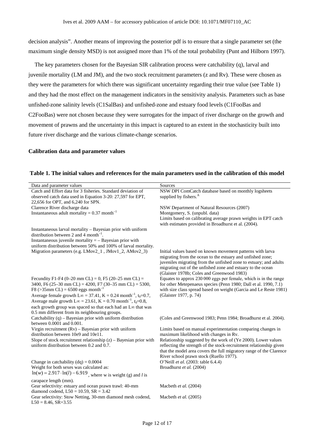decision analysis". Another means of improving the posterior pdf is to ensure that a single parameter set (the maximum single density MSD) is not assigned more than 1% of the total probability (Punt and Hilborn 1997).

The key parameters chosen for the Bayesian SIR calibration process were catchability (q), larval and juvenile mortality (LM and JM), and the two stock recruitment parameters (z and Rv). These were chosen as they were the parameters for which there was significant uncertainty regarding their true value (see Table 1) and they had the most effect on the management indicators in the sensitivity analysis. Parameters such as base unfished-zone salinity levels (C1SalBas) and unfished-zone and estuary food levels (C1FooBas and C2FooBas) were not chosen because they were surrogates for the impact of river discharge on the growth and movement of prawns and the uncertainty in this impact is captured to an extent in the stochasticity built into future river discharge and the various climate-change scenarios.

### **Calibration data and parameter values**

| Data and parameter values                                                                                          | Sources                                                                                                                                                                                                                                                                                                    |
|--------------------------------------------------------------------------------------------------------------------|------------------------------------------------------------------------------------------------------------------------------------------------------------------------------------------------------------------------------------------------------------------------------------------------------------|
| Catch and Effort data for 3 fisheries. Standard deviation of                                                       | NSW DPI ComCatch database based on monthly logsheets                                                                                                                                                                                                                                                       |
| observed catch data used in Equation 3-20: 27,597 for EPT,                                                         | supplied by fishers. <sup>A</sup>                                                                                                                                                                                                                                                                          |
| 22,656 for OPT, and 6,240 for SPN.                                                                                 |                                                                                                                                                                                                                                                                                                            |
| Clarence River discharge data                                                                                      | NSW Department of Natural Resources (2007)                                                                                                                                                                                                                                                                 |
| Instantaneous adult mortality = $0.37$ month <sup>-1</sup>                                                         | Montgomery, S. (unpubl. data)                                                                                                                                                                                                                                                                              |
|                                                                                                                    | Limits based on calibrating average prawn weights in EPT catch<br>with estimates provided in Broadhurst et al. (2004).                                                                                                                                                                                     |
| Instantaneous larval mortality - Bayesian prior with uniform<br>distribution between 2 and 4 month <sup>-1</sup> . |                                                                                                                                                                                                                                                                                                            |
| Instantaneous juvenile mortality $=$ - Bayesian prior with                                                         |                                                                                                                                                                                                                                                                                                            |
| uniform distribution between 50% and 100% of larval mortality.                                                     |                                                                                                                                                                                                                                                                                                            |
| Migration parameters (e.g. LMov2_1, JMov1_2, AMov2_3)                                                              | Initial values based on known movement patterns with larva<br>migrating from the ocean to the estuary and unfished zone;<br>juveniles migrating from the unfished zone to estuary; and adults<br>migrating out of the unfished zone and estuary to the ocean<br>(Glaister 1978b; Coles and Greenwood 1983) |
| Fecundity F1-F4 (0–20 mm CL) = 0, F5 (20–25 mm CL) =                                                               | Equates to approx 230 000 eggs per female, which is in the range                                                                                                                                                                                                                                           |
| 3400, F6 (25–30 mm CL) = 4200, F7 (30–35 mm CL) = 5300,                                                            | for other Metepenaeus species (Penn 1980; Dall et al. 1990, 7.1)                                                                                                                                                                                                                                           |
| F8 ( $>35$ mm CL) = 6500 eggs month <sup>-1</sup>                                                                  | with size class spread based on weight (Garcia and Le Reste 1981)                                                                                                                                                                                                                                          |
| Average female growth $L\infty = 37.41$ , K = 0.24 month <sup>-1</sup> , t <sub>0</sub> =0.7,                      | (Glaister 1977, p. 74)                                                                                                                                                                                                                                                                                     |
| Average male growth L $\infty$ = 23.61, K = 0.70 month <sup>-1</sup> , t <sub>0</sub> =0.8,                        |                                                                                                                                                                                                                                                                                                            |
| each growth group was spaced so that each had an L∞ that was                                                       |                                                                                                                                                                                                                                                                                                            |
| 0.5 mm different from its neighbouring groups.                                                                     |                                                                                                                                                                                                                                                                                                            |
| Catchability $(q)$ – Bayesian prior with uniform distribution<br>between 0.0001 and 0.001.                         | (Coles and Greenwood 1983; Penn 1984; Broadhurst et al. 2004).                                                                                                                                                                                                                                             |
| Virgin recruitment $(Rv)$ – Bayesian prior with uniform                                                            | Limits based on manual experimentation comparing changes in                                                                                                                                                                                                                                                |
| distribution between 10e9 and 10e11.                                                                               | maximum likelihood with changes in Rv.                                                                                                                                                                                                                                                                     |
| Slope of stock recruitment relationship $(z)$ – Bayesian prior with                                                | Relationship suggested by the work of (Ye 2000). Lower values                                                                                                                                                                                                                                              |
| uniform distribution between 0.2 and 0.7.                                                                          | reflecting the strength of the stock-recruitment relationship given                                                                                                                                                                                                                                        |
|                                                                                                                    | that the model area covers the full migratory range of the Clarence                                                                                                                                                                                                                                        |
|                                                                                                                    | River school prawn stock (Ruello 1977).                                                                                                                                                                                                                                                                    |
| Change in catchability $(dq) = 0.0004$                                                                             | O'Neill et al. (2003: table 6.4.4)                                                                                                                                                                                                                                                                         |
| Weight for both sexes was calculated as:                                                                           | Broadhurst et al. (2004)                                                                                                                                                                                                                                                                                   |
| $ln(w) = 2.917 \cdot ln(l) - 6.919$ , where w is weight (g) and l is                                               |                                                                                                                                                                                                                                                                                                            |
| carapace length (mm).                                                                                              |                                                                                                                                                                                                                                                                                                            |
| Gear selectivity: estuary and ocean prawn trawl: 40-mm                                                             | Macbeth et al. (2004)                                                                                                                                                                                                                                                                                      |
| diamond codend, $L50 = 10.59$ , $SR = 3.42$                                                                        |                                                                                                                                                                                                                                                                                                            |
| Gear selectivity: Stow Netting, 30-mm diamond mesh codend,<br>$L50 = 8.46$ , $SR = 3.55$                           | Macbeth et al. (2005)                                                                                                                                                                                                                                                                                      |
|                                                                                                                    |                                                                                                                                                                                                                                                                                                            |

# **Table 1. The initial values and references for the main parameters used in the calibration of this model**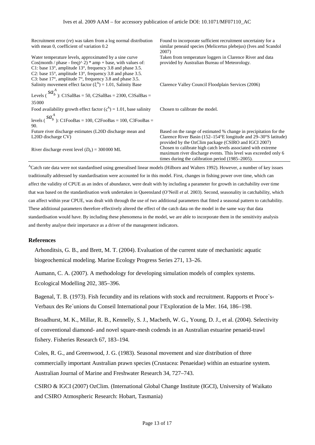Recruitment error (*re*) was taken from a log normal distribution with mean 0, coefficient of variation 0.2 Found to incorporate sufficient recruitment uncertainty for a similar peneaid species (Melicertus plebejus) (Ives and Scandol 2007) Water temperature levels, approximated by a sine curve Cos(month / phase - freq)^ 2) \* amp + base, with values of: C1: base 13°, amplitude 13°, frequency 3.8 and phase 3.5. C2: base 15°, amplitude 13°, frequency 3.8 and phase 3.5. C3: base 17°, amplitude 7°, frequency 3.8 and phase 3.5. Taken from temperature loggers in Clarence River and data provided by Australian Bureau of Meteorology. Salinity movement effect factor  $(A) = 1.01$ , Salinity Base Levels  $\binom{5}{b}$  $sa_b^A$ <sub>b</sub> : C1SalBas = 50, C2SalBas = 2300, C3SalBas = 35000 Clarence Valley Council Floodplain Services (2006) Food availability growth effect factor  $($ <sup>A</sup> $)$  = 1.01, base salinity Cho levels  $\binom{5\alpha}{b}$  $sa_b^A$ <sub>)</sub>: C1FooBas = 100, C2FooBas = 100, C3FooBas = 90. Chosen to calibrate the model. Future river discharge estimates (L20D discharge mean and L20D discharge CV) Based on the range of estimated % change in precipitation for the Clarence River Basin (152–154°E longitude and 29–30°S latitude) provided by the OzClim package (CSIRO and IGCI 2007) River discharge event level  $(D_E) = 300000 \text{ ML}$  Chosen to calibrate high catch levels associated with extreme maximum river discharge events. This level was exceeded only 6 times during the calibration period (1985–2005).

<sup>A</sup>Catch rate data were not standardised using generalised linear models (Hilborn and Walters 1992). However, a number of key issues traditionally addressed by standardisation were accounted for in this model. First, changes in fishing power over time, which can affect the validity of CPUE as an index of abundance, were dealt with by including a parameter for growth in catchability over time that was based on the standardisation work undertaken in Queensland (O'Neill *et al.* 2003). Second, seasonality in catchability, which can affect within year CPUE, was dealt with through the use of two additional parameters that fitted a seasonal pattern to catchability. These additional parameters therefore effectively altered the effect of the catch data on the model in the same way that data standardisation would have. By including these phenomena in the model, we are able to incorporate them in the sensitivity analysis and thereby analyse their importance as a driver of the management indicators.

# **References**

Arhonditsis, G. B., and Brett, M. T. (2004). Evaluation of the current state of mechanistic aquatic biogeochemical modeling. Marine Ecology Progress Series 271, 13–26.

Aumann, C. A. (2007). A methodology for developing simulation models of complex systems. Ecological Modelling 202, 385–396.

Bagenal, T. B. (1973). Fish fecundity and its relations with stock and recruitment. Rapports et Proce`s- Verbaux des Re´unions du Conseil International pour l'Exploration de la Mer. 164, 186–198.

Broadhurst, M. K., Millar, R. B., Kennelly, S. J., Macbeth, W. G., Young, D. J., et al. (2004). Selectivity of conventional diamond- and novel square-mesh codends in an Australian estuarine penaeid-trawl fishery. Fisheries Research 67, 183–194.

Coles, R. G., and Greenwood, J. G. (1983). Seasonal movement and size distribution of three commercially important Australian prawn species (Crustacea: Penaeidae) within an estuarine system. Australian Journal of Marine and Freshwater Research 34, 727–743.

CSIRO & IGCI (2007) OzClim. (International Global Change Institute (IGCI), University of Waikato and CSIRO Atmospheric Research: Hobart, Tasmania)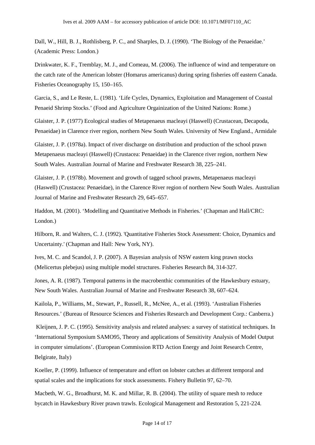Dall, W., Hill, B. J., Rothlisberg, P. C., and Sharples, D. J. (1990). 'The Biology of the Penaeidae.' (Academic Press: London.)

Drinkwater, K. F., Tremblay, M. J., and Comeau, M. (2006). The influence of wind and temperature on the catch rate of the American lobster (Homarus americanus) during spring fisheries off eastern Canada. Fisheries Oceanography 15, 150–165.

Garcia, S., and Le Reste, L. (1981). 'Life Cycles, Dynamics, Exploitation and Management of Coastal Penaeid Shrimp Stocks.' (Food and Agriculture Orgainization of the United Nations: Rome.)

Glaister, J. P. (1977) Ecological studies of Metapenaeus macleayi (Haswell) (Crustacean, Decapoda, Penaeidae) in Clarence river region, northern New South Wales. University of New England., Armidale

Glaister, J. P. (1978a). Impact of river discharge on distribution and production of the school prawn Metapenaeus macleayi (Haswell) (Crustacea: Penaeidae) in the Clarence river region, northern New South Wales. Australian Journal of Marine and Freshwater Research 38, 225–241.

Glaister, J. P. (1978b). Movement and growth of tagged school prawns, Metapenaeus macleayi (Haswell) (Crustacea: Penaeidae), in the Clarence River region of northern New South Wales. Australian Journal of Marine and Freshwater Research 29, 645–657.

Haddon, M. (2001). 'Modelling and Quantitative Methods in Fisheries.' (Chapman and Hall/CRC: London.)

Hilborn, R. and Walters, C. J. (1992). 'Quantitative Fisheries Stock Assessment: Choice, Dynamics and Uncertainty.' (Chapman and Hall: New York, NY).

Ives, M. C. and Scandol, J. P. (2007). A Bayesian analysis of NSW eastern king prawn stocks (Melicertus plebejus) using multiple model structures. Fisheries Research 84, 314-327.

Jones, A. R. (1987). Temporal patterns in the macrobenthic communities of the Hawkesbury estuary, New South Wales. Australian Journal of Marine and Freshwater Research 38, 607–624.

Kailola, P., Williams, M., Stewart, P., Russell, R., McNee, A., et al. (1993). 'Australian Fisheries Resources.' (Bureau of Resource Sciences and Fisheries Research and Development Corp.: Canberra.)

Kleijnen, J. P. C. (1995). Sensitivity analysis and related analyses: a survey of statistical techniques. In 'International Symposium SAMO95, Theory and applications of Sensitivity Analysis of Model Output in computer simulations'. (European Commission RTD Action Energy and Joint Research Centre, Belgirate, Italy)

Koeller, P. (1999). Influence of temperature and effort on lobster catches at different temporal and spatial scales and the implications for stock assessments. Fishery Bulletin 97, 62–70.

Macbeth, W. G., Broadhurst, M. K. and Millar, R. B. (2004). The utility of square mesh to reduce bycatch in Hawkesbury River prawn trawls. Ecological Management and Restoration 5, 221-224.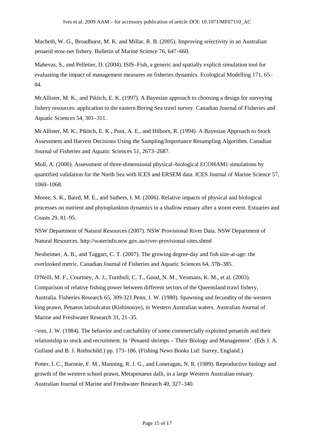Macbeth, W. G., Broadhurst, M. K. and Millar, R. B. (2005). Improving selectivity in an Australian penaeid stow-net fishery. Bulletin of Marine Science 76, 647–660.

Mahevas, S., and Pelletier, D. (2004). ISIS–Fish, a generic and spatially explicit simulation tool for evaluating the impact of management measures on fisheries dynamics. Ecological Modelling 171, 65– 84.

McAllister, M. K., and Pikitch, E. K. (1997). A Bayesian approach to choosing a design for surveying fishery resources: application to the eastern Bering Sea trawl survey. Canadian Journal of Fisheries and Aquatic Sciences 54, 301–311.

McAllister, M. K., Pikitch, E. K., Punt, A. E., and Hilborn, R. (1994). A Bayesian Approach to Stock Assessment and Harvest Decisions Using the Sampling/Importance Resampling Algorithm. Canadian Journal of Fisheries and Aquatic Sciences 51, 2673–2687.

Moll, A. (2000). Assessment of three-dimensional physical–biological ECOHAM1 simulations by quantified validation for the North Sea with ICES and ERSEM data. ICES Journal of Marine Science 57, 1060–1068.

Moore, S. K., Baird, M. E., and Suthers, I. M. (2006). Relative impacts of physical and biological processes on nutrient and phytoplankton dynamics in a shallow estuary after a storm event. Estuaries and Coasts 29, 81–95.

NSW Department of Natural Resources (2007). NSW Provisional River Data. NSW Department of Natural Resources. http://waterinfo.nsw.gov.au/river-provisional-sites.shtml

Neuheimer, A. B., and Taggart, C. T. (2007). The growing degree-day and fish size-at-age: the overlooked metric. Canadian Journal of Fisheries and Aquatic Sciences 64, 378–385.

O'Neill, M. F., Courtney, A. J., Turnbull, C. T., Good, N. M., Yeomans, K. M., et al. (2003). Comparison of relative fishing power between different sectors of the Queensland trawl fishery, Australia. Fisheries Research 65, 309-321.Penn, J. W. (1980). Spawning and fecundity of the western king prawn, Penaeus latisulcatus (Kishinouye), in Western Australian waters. Australian Journal of Marine and Freshwater Research 31, 21–35.

<enn, J. W. (1984). The behavior and catchability of some commercially exploited penaeids and their relationship to stock and recruitment. In 'Penaeid shrimps – Their Biology and Management'. (Eds J. A. Gulland and B. J. Rothschild.) pp. 173–186. (Fishing News Books Ltd: Surrey, England.)

Potter, I. C., Baronie, F. M., Manning, R. J. G., and Loneragan, N. R. (1989). Reproductive biology and growth of the western school prawn, Metapenaeus dalli, in a large Western Australian estuary. Australian Journal of Marine and Freshwater Research 40, 327–340.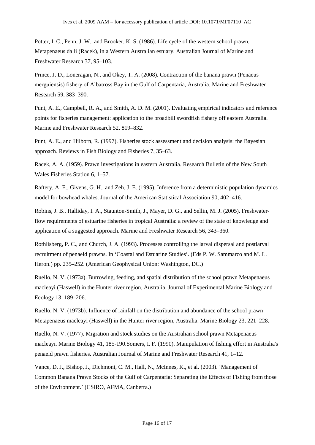Potter, I. C., Penn, J. W., and Brooker, K. S. (1986). Life cycle of the western school prawn, Metapenaeus dalli (Racek), in a Western Australian estuary. Australian Journal of Marine and Freshwater Research 37, 95–103.

Prince, J. D., Loneragan, N., and Okey, T. A. (2008). Contraction of the banana prawn (Penaeus merguiensis) fishery of Albatross Bay in the Gulf of Carpentaria, Australia. Marine and Freshwater Research 59, 383–390.

Punt, A. E., Campbell, R. A., and Smith, A. D. M. (2001). Evaluating empirical indicators and reference points for fisheries management: application to the broadbill swordfish fishery off eastern Australia. Marine and Freshwater Research 52, 819–832.

Punt, A. E., and Hilborn, R. (1997). Fisheries stock assessment and decision analysis: the Bayesian approach. Reviews in Fish Biology and Fisheries 7, 35–63.

Racek, A. A. (1959). Prawn investigations in eastern Australia. Research Bulletin of the New South Wales Fisheries Station 6, 1–57.

Raftery, A. E., Givens, G. H., and Zeh, J. E. (1995). Inference from a deterministic population dynamics model for bowhead whales. Journal of the American Statistical Association 90, 402–416.

Robins, J. B., Halliday, I. A., Staunton-Smith, J., Mayer, D. G., and Sellin, M. J. (2005). Freshwaterflow requirements of estuarine fisheries in tropical Australia: a review of the state of knowledge and application of a suggested approach. Marine and Freshwater Research 56, 343–360.

Rothlisberg, P. C., and Church, J. A. (1993). Processes controlling the larval dispersal and postlarval recruitment of penaeid prawns. In 'Coastal and Estuarine Studies'. (Eds P. W. Sammarco and M. L. Heron.) pp. 235–252. (American Geophysical Union: Washington, DC.)

Ruello, N. V. (1973a). Burrowing, feeding, and spatial distribution of the school prawn Metapenaeus macleayi (Haswell) in the Hunter river region, Australia. Journal of Experimental Marine Biology and Ecology 13, 189–206.

Ruello, N. V. (1973b). Influence of rainfall on the distribution and abundance of the school prawn Metapenaeus macleayi (Haswell) in the Hunter river region, Australia. Marine Biology 23, 221–228.

Ruello, N. V. (1977). Migration and stock studies on the Australian school prawn Metapenaeus macleayi. Marine Biology 41, 185-190.Somers, I. F. (1990). Manipulation of fishing effort in Australia's penaeid prawn fisheries. Australian Journal of Marine and Freshwater Research 41, 1–12.

Vance, D. J., Bishop, J., Dichmont, C. M., Hall, N., McInnes, K., et al. (2003). 'Management of Common Banana Prawn Stocks of the Gulf of Carpentaria: Separating the Effects of Fishing from those of the Environment.' (CSIRO, AFMA, Canberra.)